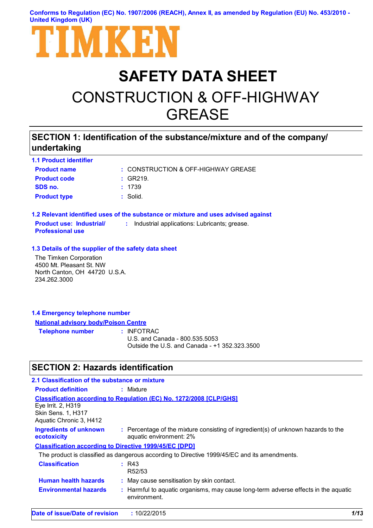**Conforms to Regulation (EC) No. 1907/2006 (REACH), Annex II, as amended by Regulation (EU) No. 453/2010 - United Kingdom (UK)**



# **SAFETY DATA SHEET** CONSTRUCTION & OFF-HIGHWAY GREASE

# **SECTION 1: Identification of the substance/mixture and of the company/ undertaking**

| <b>1.1 Product identifier</b>                              |                                                                                   |
|------------------------------------------------------------|-----------------------------------------------------------------------------------|
| <b>Product name</b>                                        | : CONSTRUCTION & OFF-HIGHWAY GREASE                                               |
| <b>Product code</b>                                        | : GR219.                                                                          |
| SDS no.                                                    | : 1739                                                                            |
| <b>Product type</b>                                        | $:$ Solid.                                                                        |
|                                                            | 1.2 Relevant identified uses of the substance or mixture and uses advised against |
| <b>Product use: Industrial/</b><br><b>Professional use</b> | : Industrial applications: Lubricants; grease.                                    |
| 1.3 Details of the supplier of the safety data sheet       |                                                                                   |
| The Timken Corporation                                     |                                                                                   |
| 4500 Mt. Pleasant St. NW                                   |                                                                                   |
| North Canton, OH 44720 U.S.A.                              |                                                                                   |
| 234.262.3000                                               |                                                                                   |

### **1.4 Emergency telephone number National advisory body/Poison Centre Telephone number :**

: INFOTRAC U.S. and Canada - 800.535.5053 Outside the U.S. and Canada - +1 352.323.3500

# **SECTION 2: Hazards identification**

| 2.1 Classification of the substance or mixture                             |                                                                                                              |      |
|----------------------------------------------------------------------------|--------------------------------------------------------------------------------------------------------------|------|
| <b>Product definition</b>                                                  | : Mixture                                                                                                    |      |
| Eye Irrit. 2, H319<br><b>Skin Sens. 1. H317</b><br>Aquatic Chronic 3, H412 | <b>Classification according to Regulation (EC) No. 1272/2008 [CLP/GHS]</b>                                   |      |
| <b>Ingredients of unknown</b><br>ecotoxicity                               | : Percentage of the mixture consisting of ingredient(s) of unknown hazards to the<br>aquatic environment: 2% |      |
| <b>Classification according to Directive 1999/45/EC [DPD]</b>              |                                                                                                              |      |
|                                                                            | The product is classified as dangerous according to Directive 1999/45/EC and its amendments.                 |      |
| <b>Classification</b>                                                      | R43<br>R <sub>52</sub> /53                                                                                   |      |
| <b>Human health hazards</b>                                                | : May cause sensitisation by skin contact.                                                                   |      |
| <b>Environmental hazards</b>                                               | : Harmful to aquatic organisms, may cause long-term adverse effects in the aquatic<br>environment.           |      |
| Date of issue/Date of revision                                             | : 10/22/2015                                                                                                 | 1/13 |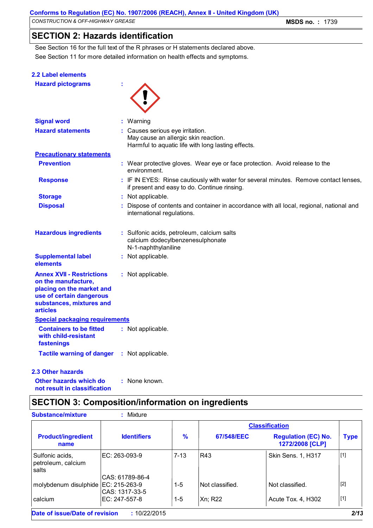# **SECTION 2: Hazards identification**

See Section 11 for more detailed information on health effects and symptoms. See Section 16 for the full text of the R phrases or H statements declared above.

| <b>2.2 Label elements</b>                                                                                                                                       |                                                                                                                                       |
|-----------------------------------------------------------------------------------------------------------------------------------------------------------------|---------------------------------------------------------------------------------------------------------------------------------------|
| <b>Hazard pictograms</b>                                                                                                                                        |                                                                                                                                       |
| <b>Signal word</b>                                                                                                                                              | : Warning                                                                                                                             |
| <b>Hazard statements</b>                                                                                                                                        | : Causes serious eye irritation.<br>May cause an allergic skin reaction.<br>Harmful to aquatic life with long lasting effects.        |
| <b>Precautionary statements</b>                                                                                                                                 |                                                                                                                                       |
| <b>Prevention</b>                                                                                                                                               | : Wear protective gloves. Wear eye or face protection. Avoid release to the<br>environment.                                           |
| <b>Response</b>                                                                                                                                                 | : IF IN EYES: Rinse cautiously with water for several minutes. Remove contact lenses,<br>if present and easy to do. Continue rinsing. |
| <b>Storage</b>                                                                                                                                                  | : Not applicable.                                                                                                                     |
| <b>Disposal</b>                                                                                                                                                 | : Dispose of contents and container in accordance with all local, regional, national and<br>international regulations.                |
| <b>Hazardous ingredients</b>                                                                                                                                    | : Sulfonic acids, petroleum, calcium salts<br>calcium dodecylbenzenesulphonate<br>N-1-naphthylaniline                                 |
| <b>Supplemental label</b><br>elements                                                                                                                           | : Not applicable.                                                                                                                     |
| <b>Annex XVII - Restrictions</b><br>on the manufacture,<br>placing on the market and<br>use of certain dangerous<br>substances, mixtures and<br><b>articles</b> | : Not applicable.                                                                                                                     |
| <b>Special packaging requirements</b>                                                                                                                           |                                                                                                                                       |
| <b>Containers to be fitted</b><br>with child-resistant<br>fastenings                                                                                            | : Not applicable.                                                                                                                     |
| <b>Tactile warning of danger</b>                                                                                                                                | : Not applicable.                                                                                                                     |
| <b>2.3 Other hazards</b>                                                                                                                                        |                                                                                                                                       |

**Other hazards which do : not result in classification** : None known.

# **SECTION 3: Composition/information on ingredients**

|                                                |                    |               |                 | <b>Classification</b>                         |             |
|------------------------------------------------|--------------------|---------------|-----------------|-----------------------------------------------|-------------|
| <b>Product/ingredient</b><br>name              | <b>Identifiers</b> | $\frac{9}{6}$ | 67/548/EEC      | <b>Regulation (EC) No.</b><br>1272/2008 [CLP] | <b>Type</b> |
| Sulfonic acids.<br>petroleum, calcium<br>salts | IEC: 263-093-9     | $7 - 13$      | <b>R43</b>      | Skin Sens. 1, H317                            | [1]         |
|                                                | CAS: 61789-86-4    |               |                 |                                               |             |
| molybdenum disulphide EC: 215-263-9            | CAS: 1317-33-5     | 1-5           | Not classified. | Not classified.                               | $[2]$       |
| calcium                                        | IEC: 247-557-8     | 1-5           | Xn; R22         | Acute Tox. 4, H302                            | $[1]$       |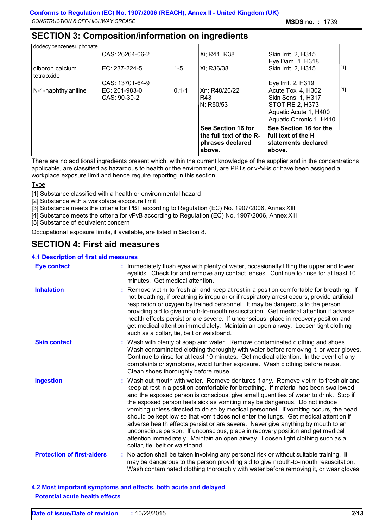# **SECTION 3: Composition/information on ingredients**

| dodecylbenzenesulphonate      |                 |           |                                                                             |                                                                                       |       |
|-------------------------------|-----------------|-----------|-----------------------------------------------------------------------------|---------------------------------------------------------------------------------------|-------|
|                               | CAS: 26264-06-2 |           | Xi; R41, R38                                                                | Skin Irrit. 2, H315<br>Eye Dam. 1, H318                                               |       |
| diboron calcium<br>tetraoxide | EC: 237-224-5   | $1 - 5$   | Xi: R36/38                                                                  | Skin Irrit. 2, H315                                                                   | $[1]$ |
|                               | CAS: 13701-64-9 |           |                                                                             | Eye Irrit. 2, H319                                                                    |       |
| N-1-naphthylaniline           | EC: 201-983-0   | $0.1 - 1$ | Xn; R48/20/22                                                               | Acute Tox. 4, H302                                                                    | $[1]$ |
|                               | CAS: 90-30-2    |           | R43                                                                         | Skin Sens. 1, H317                                                                    |       |
|                               |                 |           | N; R50/53                                                                   | STOT RE 2, H373                                                                       |       |
|                               |                 |           |                                                                             | Aquatic Acute 1, H400                                                                 |       |
|                               |                 |           |                                                                             | Aquatic Chronic 1, H410                                                               |       |
|                               |                 |           | See Section 16 for<br>the full text of the R-<br>phrases declared<br>above. | See Section 16 for the<br><b>Ifull text of the H</b><br>statements declared<br>above. |       |

There are no additional ingredients present which, within the current knowledge of the supplier and in the concentrations applicable, are classified as hazardous to health or the environment, are PBTs or vPvBs or have been assigned a workplace exposure limit and hence require reporting in this section.

### Type

[1] Substance classified with a health or environmental hazard

- [2] Substance with a workplace exposure limit
- [3] Substance meets the criteria for PBT according to Regulation (EC) No. 1907/2006, Annex XIII
- [4] Substance meets the criteria for vPvB according to Regulation (EC) No. 1907/2006, Annex XIII

[5] Substance of equivalent concern

Occupational exposure limits, if available, are listed in Section 8.

# **SECTION 4: First aid measures**

### **4.1 Description of first aid measures**

| <b>Eye contact</b>                | : Immediately flush eyes with plenty of water, occasionally lifting the upper and lower<br>eyelids. Check for and remove any contact lenses. Continue to rinse for at least 10<br>minutes. Get medical attention.                                                                                                                                                                                                                                                                                                                                                                                                                                                                                                                                                                                                            |
|-----------------------------------|------------------------------------------------------------------------------------------------------------------------------------------------------------------------------------------------------------------------------------------------------------------------------------------------------------------------------------------------------------------------------------------------------------------------------------------------------------------------------------------------------------------------------------------------------------------------------------------------------------------------------------------------------------------------------------------------------------------------------------------------------------------------------------------------------------------------------|
| <b>Inhalation</b>                 | : Remove victim to fresh air and keep at rest in a position comfortable for breathing. If<br>not breathing, if breathing is irregular or if respiratory arrest occurs, provide artificial<br>respiration or oxygen by trained personnel. It may be dangerous to the person<br>providing aid to give mouth-to-mouth resuscitation. Get medical attention if adverse<br>health effects persist or are severe. If unconscious, place in recovery position and<br>get medical attention immediately. Maintain an open airway. Loosen tight clothing<br>such as a collar, tie, belt or waistband.                                                                                                                                                                                                                                 |
| <b>Skin contact</b>               | : Wash with plenty of soap and water. Remove contaminated clothing and shoes.<br>Wash contaminated clothing thoroughly with water before removing it, or wear gloves.<br>Continue to rinse for at least 10 minutes. Get medical attention. In the event of any<br>complaints or symptoms, avoid further exposure. Wash clothing before reuse.<br>Clean shoes thoroughly before reuse.                                                                                                                                                                                                                                                                                                                                                                                                                                        |
| <b>Ingestion</b>                  | : Wash out mouth with water. Remove dentures if any. Remove victim to fresh air and<br>keep at rest in a position comfortable for breathing. If material has been swallowed<br>and the exposed person is conscious, give small quantities of water to drink. Stop if<br>the exposed person feels sick as vomiting may be dangerous. Do not induce<br>vomiting unless directed to do so by medical personnel. If vomiting occurs, the head<br>should be kept low so that vomit does not enter the lungs. Get medical attention if<br>adverse health effects persist or are severe. Never give anything by mouth to an<br>unconscious person. If unconscious, place in recovery position and get medical<br>attention immediately. Maintain an open airway. Loosen tight clothing such as a<br>collar, tie, belt or waistband. |
| <b>Protection of first-aiders</b> | : No action shall be taken involving any personal risk or without suitable training. It<br>may be dangerous to the person providing aid to give mouth-to-mouth resuscitation.<br>Wash contaminated clothing thoroughly with water before removing it, or wear gloves.                                                                                                                                                                                                                                                                                                                                                                                                                                                                                                                                                        |

**4.2 Most important symptoms and effects, both acute and delayed Potential acute health effects**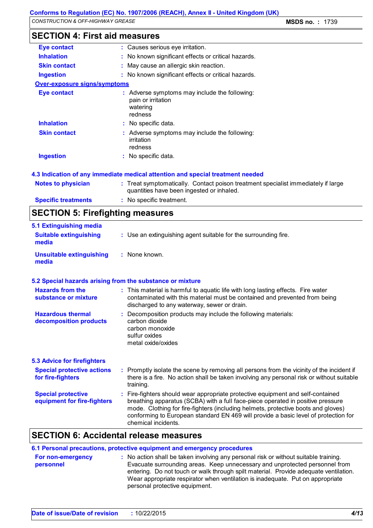|  | <b>SECTION 4: First aid measures</b> |  |
|--|--------------------------------------|--|
|--|--------------------------------------|--|

| <b>Eye contact</b>                                       | : Causes serious eye irritation.                                                                                                                                                                                                                                                                                                                                      |
|----------------------------------------------------------|-----------------------------------------------------------------------------------------------------------------------------------------------------------------------------------------------------------------------------------------------------------------------------------------------------------------------------------------------------------------------|
| <b>Inhalation</b>                                        | : No known significant effects or critical hazards.                                                                                                                                                                                                                                                                                                                   |
| <b>Skin contact</b>                                      | May cause an allergic skin reaction.                                                                                                                                                                                                                                                                                                                                  |
| <b>Ingestion</b>                                         | : No known significant effects or critical hazards.                                                                                                                                                                                                                                                                                                                   |
| <b>Over-exposure signs/symptoms</b>                      |                                                                                                                                                                                                                                                                                                                                                                       |
| <b>Eye contact</b>                                       | : Adverse symptoms may include the following:<br>pain or irritation<br>watering<br>redness                                                                                                                                                                                                                                                                            |
| <b>Inhalation</b>                                        | : No specific data.                                                                                                                                                                                                                                                                                                                                                   |
| <b>Skin contact</b>                                      | : Adverse symptoms may include the following:<br>irritation<br>redness                                                                                                                                                                                                                                                                                                |
| <b>Ingestion</b>                                         | : No specific data.                                                                                                                                                                                                                                                                                                                                                   |
|                                                          | 4.3 Indication of any immediate medical attention and special treatment needed                                                                                                                                                                                                                                                                                        |
| <b>Notes to physician</b>                                | : Treat symptomatically. Contact poison treatment specialist immediately if large<br>quantities have been ingested or inhaled.                                                                                                                                                                                                                                        |
| <b>Specific treatments</b>                               | : No specific treatment.                                                                                                                                                                                                                                                                                                                                              |
| <b>SECTION 5: Firefighting measures</b>                  |                                                                                                                                                                                                                                                                                                                                                                       |
| 5.1 Extinguishing media                                  |                                                                                                                                                                                                                                                                                                                                                                       |
| <b>Suitable extinguishing</b><br>media                   | : Use an extinguishing agent suitable for the surrounding fire.                                                                                                                                                                                                                                                                                                       |
| <b>Unsuitable extinguishing</b><br>media                 | : None known.                                                                                                                                                                                                                                                                                                                                                         |
|                                                          | 5.2 Special hazards arising from the substance or mixture                                                                                                                                                                                                                                                                                                             |
| <b>Hazards from the</b><br>substance or mixture          | : This material is harmful to aquatic life with long lasting effects. Fire water<br>contaminated with this material must be contained and prevented from being<br>discharged to any waterway, sewer or drain.                                                                                                                                                         |
| <b>Hazardous thermal</b><br>decomposition products       | : Decomposition products may include the following materials:<br>carbon dioxide<br>carbon monoxide<br>sulfur oxides<br>metal oxide/oxides                                                                                                                                                                                                                             |
| <b>5.3 Advice for firefighters</b>                       |                                                                                                                                                                                                                                                                                                                                                                       |
| <b>Special protective actions</b><br>for fire-fighters   | : Promptly isolate the scene by removing all persons from the vicinity of the incident if<br>there is a fire. No action shall be taken involving any personal risk or without suitable<br>training.                                                                                                                                                                   |
| <b>Special protective</b><br>equipment for fire-fighters | : Fire-fighters should wear appropriate protective equipment and self-contained<br>breathing apparatus (SCBA) with a full face-piece operated in positive pressure<br>mode. Clothing for fire-fighters (including helmets, protective boots and gloves)<br>conforming to European standard EN 469 will provide a basic level of protection for<br>chemical incidents. |
|                                                          |                                                                                                                                                                                                                                                                                                                                                                       |

| For non-emergency<br>personnel | : No action shall be taken involving any personal risk or without suitable training.<br>Evacuate surrounding areas. Keep unnecessary and unprotected personnel from<br>entering. Do not touch or walk through spilt material. Provide adequate ventilation.<br>Wear appropriate respirator when ventilation is inadequate. Put on appropriate<br>personal protective equipment. |
|--------------------------------|---------------------------------------------------------------------------------------------------------------------------------------------------------------------------------------------------------------------------------------------------------------------------------------------------------------------------------------------------------------------------------|
|                                |                                                                                                                                                                                                                                                                                                                                                                                 |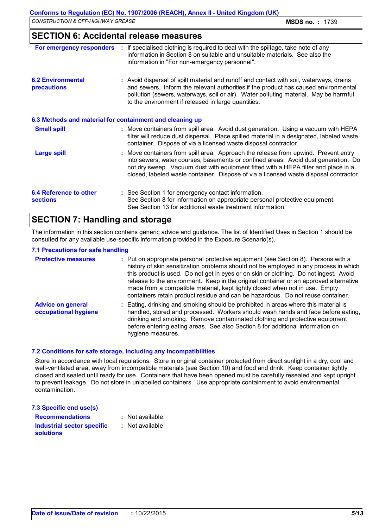## **SECTION 6: Accidental release measures**

| For emergency responders                                 | : If specialised clothing is required to deal with the spillage, take note of any<br>information in Section 8 on suitable and unsuitable materials. See also the<br>information in "For non-emergency personnel".                                                                                                                                       |
|----------------------------------------------------------|---------------------------------------------------------------------------------------------------------------------------------------------------------------------------------------------------------------------------------------------------------------------------------------------------------------------------------------------------------|
| <b>6.2 Environmental</b><br>precautions                  | : Avoid dispersal of spilt material and runoff and contact with soil, waterways, drains<br>and sewers. Inform the relevant authorities if the product has caused environmental<br>pollution (sewers, waterways, soil or air). Water polluting material. May be harmful<br>to the environment if released in large quantities.                           |
| 6.3 Methods and material for containment and cleaning up |                                                                                                                                                                                                                                                                                                                                                         |
| <b>Small spill</b>                                       | : Move containers from spill area. Avoid dust generation. Using a vacuum with HEPA<br>filter will reduce dust dispersal. Place spilled material in a designated, labeled waste<br>container. Dispose of via a licensed waste disposal contractor.                                                                                                       |
| <b>Large spill</b>                                       | : Move containers from spill area. Approach the release from upwind. Prevent entry<br>into sewers, water courses, basements or confined areas. Avoid dust generation. Do<br>not dry sweep. Vacuum dust with equipment fitted with a HEPA filter and place in a<br>closed, labeled waste container. Dispose of via a licensed waste disposal contractor. |
| <b>6.4 Reference to other</b><br><b>sections</b>         | : See Section 1 for emergency contact information.<br>See Section 8 for information on appropriate personal protective equipment.<br>See Section 13 for additional waste treatment information.                                                                                                                                                         |

# **SECTION 7: Handling and storage**

The information in this section contains generic advice and guidance. The list of Identified Uses in Section 1 should be consulted for any available use-specific information provided in the Exposure Scenario(s).

#### **7.1 Precautions for safe handling**

| <b>Protective measures</b>                       | : Put on appropriate personal protective equipment (see Section 8). Persons with a<br>history of skin sensitization problems should not be employed in any process in which<br>this product is used. Do not get in eyes or on skin or clothing. Do not ingest. Avoid<br>release to the environment. Keep in the original container or an approved alternative<br>made from a compatible material, kept tightly closed when not in use. Empty<br>containers retain product residue and can be hazardous. Do not reuse container. |
|--------------------------------------------------|---------------------------------------------------------------------------------------------------------------------------------------------------------------------------------------------------------------------------------------------------------------------------------------------------------------------------------------------------------------------------------------------------------------------------------------------------------------------------------------------------------------------------------|
| <b>Advice on general</b><br>occupational hygiene | : Eating, drinking and smoking should be prohibited in areas where this material is<br>handled, stored and processed. Workers should wash hands and face before eating,<br>drinking and smoking. Remove contaminated clothing and protective equipment<br>before entering eating areas. See also Section 8 for additional information on<br>hygiene measures.                                                                                                                                                                   |

#### **7.2 Conditions for safe storage, including any incompatibilities**

Store in accordance with local regulations. Store in original container protected from direct sunlight in a dry, cool and well-ventilated area, away from incompatible materials (see Section 10) and food and drink. Keep container tightly closed and sealed until ready for use. Containers that have been opened must be carefully resealed and kept upright to prevent leakage. Do not store in unlabelled containers. Use appropriate containment to avoid environmental contamination.

| 7.3 Specific end use(s)                               |                  |
|-------------------------------------------------------|------------------|
| <b>Recommendations</b>                                | : Not available. |
| <b>Industrial sector specific</b><br><b>solutions</b> | : Not available. |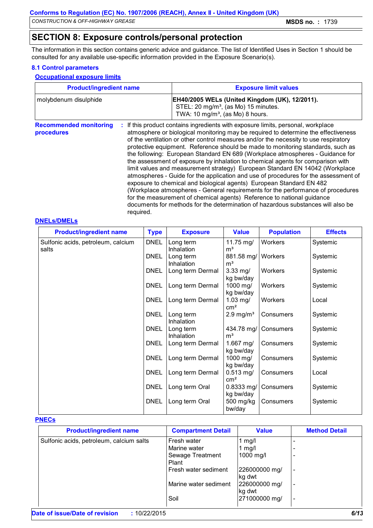# **SECTION 8: Exposure controls/personal protection**

The information in this section contains generic advice and guidance. The list of Identified Uses in Section 1 should be consulted for any available use-specific information provided in the Exposure Scenario(s).

### **8.1 Control parameters**

#### **Occupational exposure limits**

| <b>Product/ingredient name</b>              |           | <b>Exposure limit values</b>                                                                                                                                                                                                                                                                                                                                                                                                                                                                                                                                                                                                                                                                                                                                                                                                                                                                                                                                                                                        |  |  |
|---------------------------------------------|-----------|---------------------------------------------------------------------------------------------------------------------------------------------------------------------------------------------------------------------------------------------------------------------------------------------------------------------------------------------------------------------------------------------------------------------------------------------------------------------------------------------------------------------------------------------------------------------------------------------------------------------------------------------------------------------------------------------------------------------------------------------------------------------------------------------------------------------------------------------------------------------------------------------------------------------------------------------------------------------------------------------------------------------|--|--|
| molybdenum disulphide                       |           | EH40/2005 WELs (United Kingdom (UK), 12/2011).<br>STEL: 20 mg/m <sup>3</sup> , (as Mo) 15 minutes.<br>TWA: 10 mg/m <sup>3</sup> , (as Mo) 8 hours.                                                                                                                                                                                                                                                                                                                                                                                                                                                                                                                                                                                                                                                                                                                                                                                                                                                                  |  |  |
| <b>Recommended monitoring</b><br>procedures | required. | If this product contains ingredients with exposure limits, personal, workplace<br>atmosphere or biological monitoring may be required to determine the effectiveness<br>of the ventilation or other control measures and/or the necessity to use respiratory<br>protective equipment. Reference should be made to monitoring standards, such as<br>the following: European Standard EN 689 (Workplace atmospheres - Guidance for<br>the assessment of exposure by inhalation to chemical agents for comparison with<br>limit values and measurement strategy) European Standard EN 14042 (Workplace<br>atmospheres - Guide for the application and use of procedures for the assessment of<br>exposure to chemical and biological agents) European Standard EN 482<br>(Workplace atmospheres - General requirements for the performance of procedures<br>for the measurement of chemical agents) Reference to national guidance<br>documents for methods for the determination of hazardous substances will also be |  |  |

#### **DNELs/DMELs**

| <b>Product/ingredient name</b>              | <b>Type</b> | <b>Exposure</b>         | <b>Value</b>                           | <b>Population</b>    | <b>Effects</b> |
|---------------------------------------------|-------------|-------------------------|----------------------------------------|----------------------|----------------|
| Sulfonic acids, petroleum, calcium<br>salts | <b>DNEL</b> | Long term<br>Inhalation | 11.75 mg/<br>m <sup>3</sup>            | Workers              | Systemic       |
|                                             | <b>DNEL</b> | Long term<br>Inhalation | 881.58 mg/   Workers<br>m <sup>3</sup> |                      | Systemic       |
|                                             | <b>DNEL</b> | Long term Dermal        | $3.33$ mg/<br>kg bw/day                | Workers              | Systemic       |
|                                             | <b>DNEL</b> | Long term Dermal        | 1000 mg/<br>kg bw/day                  | Workers              | Systemic       |
|                                             | <b>DNEL</b> | Long term Dermal        | $1.03$ mg/<br>$\rm cm^2$               | Workers              | Local          |
|                                             | <b>DNEL</b> | Long term<br>Inhalation | $2.9$ mg/m <sup>3</sup>                | Consumers            | Systemic       |
|                                             | <b>DNEL</b> | Long term<br>Inhalation | m <sup>3</sup>                         | 434.78 mg/ Consumers | Systemic       |
|                                             | <b>DNEL</b> | Long term Dermal        | 1.667 mg/<br>kg bw/day                 | Consumers            | Systemic       |
|                                             | <b>DNEL</b> | Long term Dermal        | 1000 mg/<br>kg bw/day                  | Consumers            | Systemic       |
|                                             | <b>DNEL</b> | Long term Dermal        | $0.513$ mg/<br>$\rm cm^2$              | Consumers            | Local          |
|                                             | <b>DNEL</b> | Long term Oral          | $0.8333$ mg/<br>kg bw/day              | Consumers            | Systemic       |
|                                             | <b>DNEL</b> | Long term Oral          | 500 mg/kg<br>bw/day                    | Consumers            | Systemic       |

#### **PNECs**

| <b>Product/ingredient name</b>           | <b>Compartment Detail</b> | <b>Value</b>            | <b>Method Detail</b>     |
|------------------------------------------|---------------------------|-------------------------|--------------------------|
| Sulfonic acids, petroleum, calcium salts | Fresh water               | 1 mg/l                  |                          |
|                                          | Marine water              | 1 $mg/l$                |                          |
|                                          | Sewage Treatment<br>Plant | 1000 mg/l               |                          |
|                                          | Fresh water sediment      | 226000000 mg/<br>kg dwt | $\overline{\phantom{a}}$ |
|                                          | Marine water sediment     | 226000000 mg/<br>kg dwt | $\overline{\phantom{a}}$ |
|                                          | Soil                      | 271000000 mg/           | $\overline{\phantom{a}}$ |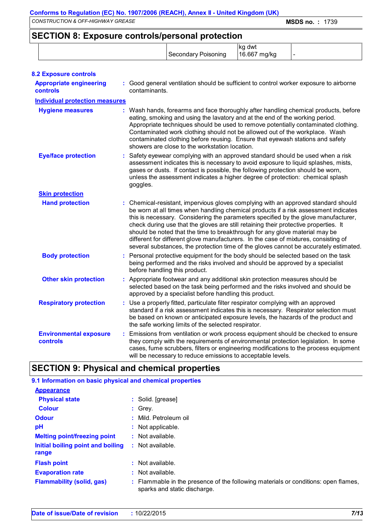# **SECTION 8: Exposure controls/personal protection**

| <u>ULUITUITUI LAPUULIU UUIILIUIPUI UUIILI PIULUULIUI</u> | Secondary Poisoning | ∣kg dwt<br>16.667 mg/kg |  |
|----------------------------------------------------------|---------------------|-------------------------|--|
| <b>8.2 Exposure controls</b>                             |                     |                         |  |

| <b>Appropriate engineering</b><br><b>controls</b> | : Good general ventilation should be sufficient to control worker exposure to airborne<br>contaminants.                                                                                                                                                                                                                                                                                                                                                                                                                                                                                                                |
|---------------------------------------------------|------------------------------------------------------------------------------------------------------------------------------------------------------------------------------------------------------------------------------------------------------------------------------------------------------------------------------------------------------------------------------------------------------------------------------------------------------------------------------------------------------------------------------------------------------------------------------------------------------------------------|
| <b>Individual protection measures</b>             |                                                                                                                                                                                                                                                                                                                                                                                                                                                                                                                                                                                                                        |
| <b>Hygiene measures</b>                           | : Wash hands, forearms and face thoroughly after handling chemical products, before<br>eating, smoking and using the lavatory and at the end of the working period.<br>Appropriate techniques should be used to remove potentially contaminated clothing.<br>Contaminated work clothing should not be allowed out of the workplace. Wash<br>contaminated clothing before reusing. Ensure that eyewash stations and safety<br>showers are close to the workstation location.                                                                                                                                            |
| <b>Eye/face protection</b>                        | : Safety eyewear complying with an approved standard should be used when a risk<br>assessment indicates this is necessary to avoid exposure to liquid splashes, mists,<br>gases or dusts. If contact is possible, the following protection should be worn,<br>unless the assessment indicates a higher degree of protection: chemical splash<br>goggles.                                                                                                                                                                                                                                                               |
| <b>Skin protection</b>                            |                                                                                                                                                                                                                                                                                                                                                                                                                                                                                                                                                                                                                        |
| <b>Hand protection</b>                            | : Chemical-resistant, impervious gloves complying with an approved standard should<br>be worn at all times when handling chemical products if a risk assessment indicates<br>this is necessary. Considering the parameters specified by the glove manufacturer,<br>check during use that the gloves are still retaining their protective properties. It<br>should be noted that the time to breakthrough for any glove material may be<br>different for different glove manufacturers. In the case of mixtures, consisting of<br>several substances, the protection time of the gloves cannot be accurately estimated. |
| <b>Body protection</b>                            | : Personal protective equipment for the body should be selected based on the task<br>being performed and the risks involved and should be approved by a specialist<br>before handling this product.                                                                                                                                                                                                                                                                                                                                                                                                                    |
| <b>Other skin protection</b>                      | : Appropriate footwear and any additional skin protection measures should be<br>selected based on the task being performed and the risks involved and should be<br>approved by a specialist before handling this product.                                                                                                                                                                                                                                                                                                                                                                                              |
| <b>Respiratory protection</b>                     | : Use a properly fitted, particulate filter respirator complying with an approved<br>standard if a risk assessment indicates this is necessary. Respirator selection must<br>be based on known or anticipated exposure levels, the hazards of the product and<br>the safe working limits of the selected respirator.                                                                                                                                                                                                                                                                                                   |
| <b>Environmental exposure</b><br>controls         | : Emissions from ventilation or work process equipment should be checked to ensure<br>they comply with the requirements of environmental protection legislation. In some<br>cases, fume scrubbers, filters or engineering modifications to the process equipment<br>will be necessary to reduce emissions to acceptable levels.                                                                                                                                                                                                                                                                                        |

# **SECTION 9: Physical and chemical properties**

### **9.1 Information on basic physical and chemical properties**

| <b>Appearance</b>                          |                                                                                                                    |
|--------------------------------------------|--------------------------------------------------------------------------------------------------------------------|
| <b>Physical state</b>                      | : Solid. [grease]                                                                                                  |
| <b>Colour</b>                              | $:$ Grey.                                                                                                          |
| <b>Odour</b>                               | : Mild. Petroleum oil                                                                                              |
| рH                                         | : Not applicable.                                                                                                  |
| <b>Melting point/freezing point</b>        | $:$ Not available.                                                                                                 |
| Initial boiling point and boiling<br>range | : Not available.                                                                                                   |
| <b>Flash point</b>                         | $:$ Not available.                                                                                                 |
| <b>Evaporation rate</b>                    | $:$ Not available.                                                                                                 |
| <b>Flammability (solid, gas)</b>           | : Flammable in the presence of the following materials or conditions: open flames,<br>sparks and static discharge. |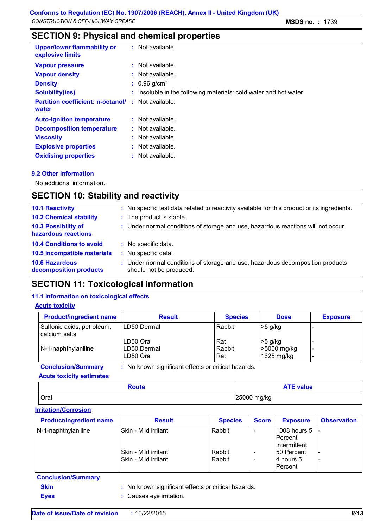# **SECTION 9: Physical and chemical properties**

| Upper/lower flammability or<br>explosive limits                    | $:$ Not available.                                                |
|--------------------------------------------------------------------|-------------------------------------------------------------------|
| <b>Vapour pressure</b>                                             | $:$ Not available.                                                |
| <b>Vapour density</b>                                              | $:$ Not available.                                                |
| <b>Density</b>                                                     | $: 0.96$ g/cm <sup>3</sup>                                        |
| <b>Solubility(ies)</b>                                             | : Insoluble in the following materials: cold water and hot water. |
| <b>Partition coefficient: n-octanol/ : Not available.</b><br>water |                                                                   |
| <b>Auto-ignition temperature</b>                                   | $:$ Not available.                                                |
| <b>Decomposition temperature</b>                                   | $\therefore$ Not available.                                       |
| <b>Viscosity</b>                                                   | $:$ Not available.                                                |
| <b>Explosive properties</b>                                        | $:$ Not available.                                                |
| <b>Oxidising properties</b>                                        | $:$ Not available.                                                |

### **9.2 Other information**

No additional information.

# **SECTION 10: Stability and reactivity**

| : No specific test data related to reactivity available for this product or its ingredients.              |
|-----------------------------------------------------------------------------------------------------------|
| : The product is stable.                                                                                  |
| : Under normal conditions of storage and use, hazardous reactions will not occur.                         |
| : No specific data.                                                                                       |
| : No specific data.                                                                                       |
| : Under normal conditions of storage and use, hazardous decomposition products<br>should not be produced. |
|                                                                                                           |

# **SECTION 11: Toxicological information**

### **11.1 Information on toxicological effects**

### **Acute toxicity**

| <b>Product/ingredient name</b>              | <b>Result</b>                                     | <b>Species</b>       | <b>Dose</b>                            | <b>Exposure</b>                                                                  |
|---------------------------------------------|---------------------------------------------------|----------------------|----------------------------------------|----------------------------------------------------------------------------------|
| Sulfonic acids, petroleum,<br>calcium salts | ILD50 Dermal                                      | Rabbit               | $>5$ g/kg                              | -                                                                                |
| $N-1$ -naphthylaniline                      | LD50 Oral<br>LD50 Dermal<br>ILD50 Oral            | Rat<br>Rabbit<br>Rat | $>5$ g/kg<br>>5000 mg/kg<br>1625 mg/kg | $\overline{\phantom{0}}$<br>$\overline{\phantom{a}}$<br>$\overline{\phantom{0}}$ |
| <b>Conclusion/Summary</b>                   | No known significant effects or critical hazards. |                      |                                        |                                                                                  |

### **Acute toxicity estimates**

| Route       | <b>ATE value</b> |
|-------------|------------------|
| <b>Oral</b> | 25000 mg/kg      |

### **Irritation/Corrosion**

| <b>Product/ingredient name</b> | <b>Result</b>                                                        | <b>Species</b>             | <b>Score</b> | <b>Exposure</b>                                                                       | <b>Observation</b>                                   |
|--------------------------------|----------------------------------------------------------------------|----------------------------|--------------|---------------------------------------------------------------------------------------|------------------------------------------------------|
| N-1-naphthylaniline            | Skin - Mild irritant<br>Skin - Mild irritant<br>Skin - Mild irritant | Rabbit<br>Rabbit<br>Rabbit | -<br>-       | 1008 hours $5$  -<br>Percent<br>Intermittent<br>150 Percent<br>14 hours 5<br>lPercent | $\overline{\phantom{a}}$<br>$\overline{\phantom{a}}$ |

### **Conclusion/Summary**

**Skin :** No known significant effects or critical hazards.

**Eyes :** Causes eye irritation.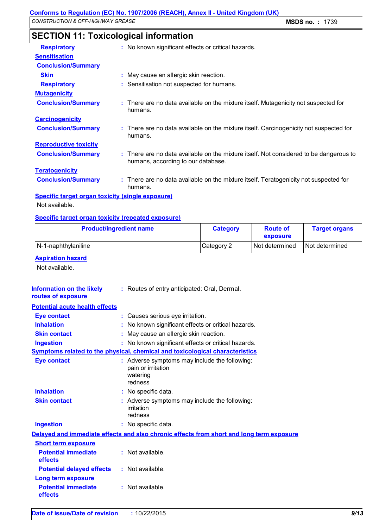| <b>Respiratory</b>           | : No known significant effects or critical hazards.                                                                          |
|------------------------------|------------------------------------------------------------------------------------------------------------------------------|
| <b>Sensitisation</b>         |                                                                                                                              |
| <b>Conclusion/Summary</b>    |                                                                                                                              |
| <b>Skin</b>                  | : May cause an allergic skin reaction.                                                                                       |
| <b>Respiratory</b>           | : Sensitisation not suspected for humans.                                                                                    |
| <b>Mutagenicity</b>          |                                                                                                                              |
| <b>Conclusion/Summary</b>    | : There are no data available on the mixture itself. Mutagenicity not suspected for<br>humans.                               |
| <b>Carcinogenicity</b>       |                                                                                                                              |
| <b>Conclusion/Summary</b>    | : There are no data available on the mixture itself. Carcinogenicity not suspected for<br>humans.                            |
| <b>Reproductive toxicity</b> |                                                                                                                              |
| <b>Conclusion/Summary</b>    | : There are no data available on the mixture itself. Not considered to be dangerous to<br>humans, according to our database. |
| <b>Teratogenicity</b>        |                                                                                                                              |
| <b>Conclusion/Summary</b>    | : There are no data available on the mixture itself. Teratogenicity not suspected for<br>humans.                             |

# **SECTION 11: Toxicological information**

**Specific target organ toxicity (single exposure)**

Not available.

### **Specific target organ toxicity (repeated exposure)**

| <b>Product/ingredient name</b> | <b>Category</b> | <b>Route of</b><br>exposure | <b>Target organs</b> |
|--------------------------------|-----------------|-----------------------------|----------------------|
| N-1-naphthylaniline            | Category 2      | <b>Not determined</b>       | Not determined       |

### **Aspiration hazard**

Not available.

| Information on the likely<br>routes of exposure | : Routes of entry anticipated: Oral, Dermal. |
|-------------------------------------------------|----------------------------------------------|
| <b>Potential acute health effects</b>           |                                              |

| <b>Eye contact</b>                    |   | : Causes serious eye irritation.                                                           |
|---------------------------------------|---|--------------------------------------------------------------------------------------------|
| <b>Inhalation</b>                     |   | No known significant effects or critical hazards.                                          |
| <b>Skin contact</b>                   | t | May cause an allergic skin reaction.                                                       |
| <b>Ingestion</b>                      |   | : No known significant effects or critical hazards.                                        |
|                                       |   | Symptoms related to the physical, chemical and toxicological characteristics               |
| <b>Eye contact</b>                    |   | : Adverse symptoms may include the following:<br>pain or irritation<br>watering<br>redness |
| <b>Inhalation</b>                     |   | : No specific data.                                                                        |
| <b>Skin contact</b>                   |   | Adverse symptoms may include the following:<br>irritation<br>redness                       |
| <b>Ingestion</b>                      |   | : No specific data.                                                                        |
|                                       |   | Delayed and immediate effects and also chronic effects from short and long term exposure   |
| <b>Short term exposure</b>            |   |                                                                                            |
| <b>Potential immediate</b><br>effects |   | $:$ Not available.                                                                         |
| <b>Potential delayed effects</b>      |   | $:$ Not available.                                                                         |
| <b>Long term exposure</b>             |   |                                                                                            |
| <b>Potential immediate</b><br>effects |   | : Not available.                                                                           |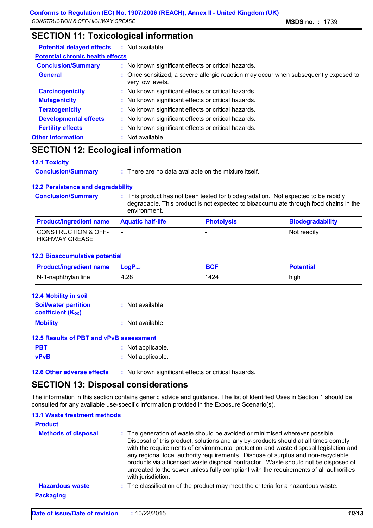# **SECTION 11: Toxicological information**

| <b>Potential delayed effects : Not available.</b> |                                                                                                          |
|---------------------------------------------------|----------------------------------------------------------------------------------------------------------|
| <b>Potential chronic health effects</b>           |                                                                                                          |
| <b>Conclusion/Summary</b>                         | : No known significant effects or critical hazards.                                                      |
| <b>General</b>                                    | : Once sensitized, a severe allergic reaction may occur when subsequently exposed to<br>very low levels. |
| <b>Carcinogenicity</b>                            | : No known significant effects or critical hazards.                                                      |
| <b>Mutagenicity</b>                               | : No known significant effects or critical hazards.                                                      |
| <b>Teratogenicity</b>                             | : No known significant effects or critical hazards.                                                      |
| <b>Developmental effects</b>                      | : No known significant effects or critical hazards.                                                      |
| <b>Fertility effects</b>                          | : No known significant effects or critical hazards.                                                      |
| <b>Other information</b>                          | : Not available.                                                                                         |

# **SECTION 12: Ecological information**

### **12.1 Toxicity**

**Conclusion/Summary :** There are no data available on the mixture itself.

### **12.2 Persistence and degradability**

**Conclusion/Summary :** This product has not been tested for biodegradation. Not expected to be rapidly degradable. This product is not expected to bioaccumulate through food chains in the environment.

| <b>Product/ingredient name</b>                   | <b>Aquatic half-life</b> | <b>Photolysis</b> | Biodegradability |
|--------------------------------------------------|--------------------------|-------------------|------------------|
| <b>CONSTRUCTION &amp; OFF-</b><br>HIGHWAY GREASE |                          |                   | Not readily      |

### **12.3 Bioaccumulative potential**

| <b>Product/ingredient name</b> | $\mathsf{LogP}_\mathsf{ow}$ | <b>BCF</b> | <b>Potential</b> |
|--------------------------------|-----------------------------|------------|------------------|
| $\vert$ N-1-naphthylaniline    | 4.28                        | 1424       | high             |

| <b>12.4 Mobility in soil</b>                            |                    |
|---------------------------------------------------------|--------------------|
| <b>Soil/water partition</b><br><b>coefficient (Koc)</b> | $:$ Not available. |
| <b>Mobility</b>                                         | : Not available.   |
| 12.5 Results of PBT and vPvB assessment                 |                    |
| <b>PBT</b>                                              | : Not applicable.  |
| <b>vPvB</b>                                             | : Not applicable.  |

**12.6 Other adverse effects** : No known significant effects or critical hazards.

# **SECTION 13: Disposal considerations**

The information in this section contains generic advice and guidance. The list of Identified Uses in Section 1 should be consulted for any available use-specific information provided in the Exposure Scenario(s).

### **13.1 Waste treatment methods**

| <b>Product</b>                             |                                                                                                                                                                                                                                                                                                                                                                                                                                                                                                                                                     |
|--------------------------------------------|-----------------------------------------------------------------------------------------------------------------------------------------------------------------------------------------------------------------------------------------------------------------------------------------------------------------------------------------------------------------------------------------------------------------------------------------------------------------------------------------------------------------------------------------------------|
| <b>Methods of disposal</b>                 | : The generation of waste should be avoided or minimised wherever possible.<br>Disposal of this product, solutions and any by-products should at all times comply<br>with the requirements of environmental protection and waste disposal legislation and<br>any regional local authority requirements. Dispose of surplus and non-recyclable<br>products via a licensed waste disposal contractor. Waste should not be disposed of<br>untreated to the sewer unless fully compliant with the requirements of all authorities<br>with jurisdiction. |
| <b>Hazardous waste</b><br><b>Packaging</b> | : The classification of the product may meet the criteria for a hazardous waste.                                                                                                                                                                                                                                                                                                                                                                                                                                                                    |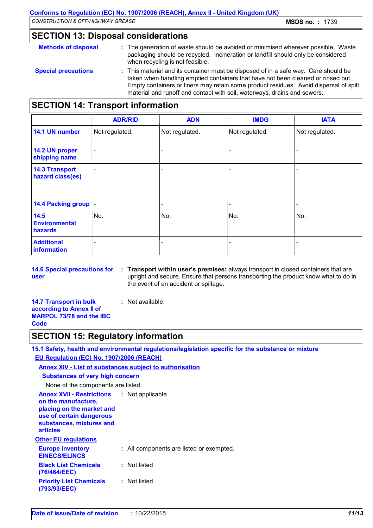# **SECTION 13: Disposal considerations**

| <b>Methods of disposal</b> | : The generation of waste should be avoided or minimised wherever possible. Waste<br>packaging should be recycled. Incineration or landfill should only be considered<br>when recycling is not feasible.                                                                                                                                     |
|----------------------------|----------------------------------------------------------------------------------------------------------------------------------------------------------------------------------------------------------------------------------------------------------------------------------------------------------------------------------------------|
| <b>Special precautions</b> | : This material and its container must be disposed of in a safe way. Care should be<br>taken when handling emptied containers that have not been cleaned or rinsed out.<br>Empty containers or liners may retain some product residues. Avoid dispersal of spilt<br>material and runoff and contact with soil, waterways, drains and sewers. |

# **SECTION 14: Transport information**

|                                           | <b>ADR/RID</b>           | <b>ADN</b>               | <b>IMDG</b>    | <b>IATA</b>              |
|-------------------------------------------|--------------------------|--------------------------|----------------|--------------------------|
| 14.1 UN number                            | Not regulated.           | Not regulated.           | Not regulated. | Not regulated.           |
| 14.2 UN proper<br>shipping name           | $\overline{\phantom{a}}$ |                          |                |                          |
| <b>14.3 Transport</b><br>hazard class(es) | $\overline{\phantom{0}}$ |                          |                |                          |
| 14.4 Packing group  -                     |                          | $\overline{\phantom{0}}$ |                | $\overline{\phantom{0}}$ |
| 14.5<br><b>Environmental</b><br>hazards   | No.                      | No.                      | No.            | No.                      |
| <b>Additional</b><br>information          |                          |                          |                |                          |

**14.6 Special precautions for user**

**Transport within user's premises:** always transport in closed containers that are **:** upright and secure. Ensure that persons transporting the product know what to do in the event of an accident or spillage.

**14.7 Transport in bulk according to Annex II of MARPOL 73/78 and the IBC Code**

#### **:** Not available.

# **SECTION 15: Regulatory information**

**15.1 Safety, health and environmental regulations/legislation specific for the substance or mixture EU Regulation (EC) No. 1907/2006 (REACH)**

### **Annex XIV - List of substances subject to authorisation**

| <b>Substances of very high concern</b>                                                                                                                          |                                          |  |  |
|-----------------------------------------------------------------------------------------------------------------------------------------------------------------|------------------------------------------|--|--|
| None of the components are listed.                                                                                                                              |                                          |  |  |
| <b>Annex XVII - Restrictions</b><br>on the manufacture,<br>placing on the market and<br>use of certain dangerous<br>substances, mixtures and<br><b>articles</b> | : Not applicable.                        |  |  |
| <b>Other EU regulations</b>                                                                                                                                     |                                          |  |  |
| <b>Europe inventory</b><br><b>EINECS/ELINCS</b>                                                                                                                 | : All components are listed or exempted. |  |  |
| <b>Black List Chemicals</b><br>(76/464/EEC)                                                                                                                     | : Not listed                             |  |  |
| <b>Priority List Chemicals</b><br>(793/93/EEC)                                                                                                                  | : Not listed                             |  |  |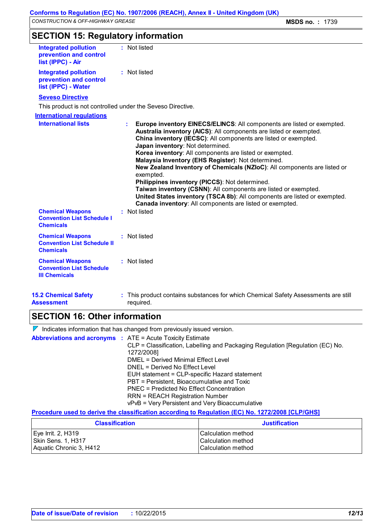| <b>SECTION 15: Regulatory information</b> |  |
|-------------------------------------------|--|
|-------------------------------------------|--|

| <b>Integrated pollution</b><br>prevention and control<br>list (IPPC) - Air         | : Not listed                                                                                                                                                                                                                                                                                                                                                                                                                                                                                                                                                                                                                                                                                                                      |
|------------------------------------------------------------------------------------|-----------------------------------------------------------------------------------------------------------------------------------------------------------------------------------------------------------------------------------------------------------------------------------------------------------------------------------------------------------------------------------------------------------------------------------------------------------------------------------------------------------------------------------------------------------------------------------------------------------------------------------------------------------------------------------------------------------------------------------|
| <b>Integrated pollution</b><br>prevention and control<br>list (IPPC) - Water       | : Not listed                                                                                                                                                                                                                                                                                                                                                                                                                                                                                                                                                                                                                                                                                                                      |
| <b>Seveso Directive</b>                                                            |                                                                                                                                                                                                                                                                                                                                                                                                                                                                                                                                                                                                                                                                                                                                   |
| This product is not controlled under the Seveso Directive.                         |                                                                                                                                                                                                                                                                                                                                                                                                                                                                                                                                                                                                                                                                                                                                   |
| <b>International requlations</b>                                                   |                                                                                                                                                                                                                                                                                                                                                                                                                                                                                                                                                                                                                                                                                                                                   |
| <b>International lists</b>                                                         | Europe inventory EINECS/ELINCS: All components are listed or exempted.<br>t.<br>Australia inventory (AICS): All components are listed or exempted.<br>China inventory (IECSC): All components are listed or exempted.<br>Japan inventory: Not determined.<br>Korea inventory: All components are listed or exempted.<br>Malaysia Inventory (EHS Register): Not determined.<br>New Zealand Inventory of Chemicals (NZIoC): All components are listed or<br>exempted.<br>Philippines inventory (PICCS): Not determined.<br>Taiwan inventory (CSNN): All components are listed or exempted.<br>United States inventory (TSCA 8b): All components are listed or exempted.<br>Canada inventory: All components are listed or exempted. |
| <b>Chemical Weapons</b><br><b>Convention List Schedule I</b><br><b>Chemicals</b>   | : Not listed                                                                                                                                                                                                                                                                                                                                                                                                                                                                                                                                                                                                                                                                                                                      |
| <b>Chemical Weapons</b><br><b>Convention List Schedule II</b><br><b>Chemicals</b>  | : Not listed                                                                                                                                                                                                                                                                                                                                                                                                                                                                                                                                                                                                                                                                                                                      |
| <b>Chemical Weapons</b><br><b>Convention List Schedule</b><br><b>III Chemicals</b> | : Not listed                                                                                                                                                                                                                                                                                                                                                                                                                                                                                                                                                                                                                                                                                                                      |
| <b>15.2 Chemical Safety</b><br><b>Assessment</b>                                   | : This product contains substances for which Chemical Safety Assessments are still<br>required.                                                                                                                                                                                                                                                                                                                                                                                                                                                                                                                                                                                                                                   |

# **SECTION 16: Other information**

 $\nabla$  Indicates information that has changed from previously issued version.

**Abbreviations and acronyms :** ATE = Acute Toxicity Estimate CLP = Classification, Labelling and Packaging Regulation [Regulation (EC) No. 1272/2008] DMEL = Derived Minimal Effect Level DNEL = Derived No Effect Level EUH statement = CLP-specific Hazard statement PBT = Persistent, Bioaccumulative and Toxic PNEC = Predicted No Effect Concentration RRN = REACH Registration Number vPvB = Very Persistent and Very Bioaccumulative

### **Procedure used to derive the classification according to Regulation (EC) No. 1272/2008 [CLP/GHS]**

| <b>Classification</b>   | <b>Justification</b>      |
|-------------------------|---------------------------|
| Eye Irrit. 2, H319      | <b>Calculation method</b> |
| Skin Sens. 1, H317      | <b>Calculation method</b> |
| Aquatic Chronic 3, H412 | <b>Calculation method</b> |